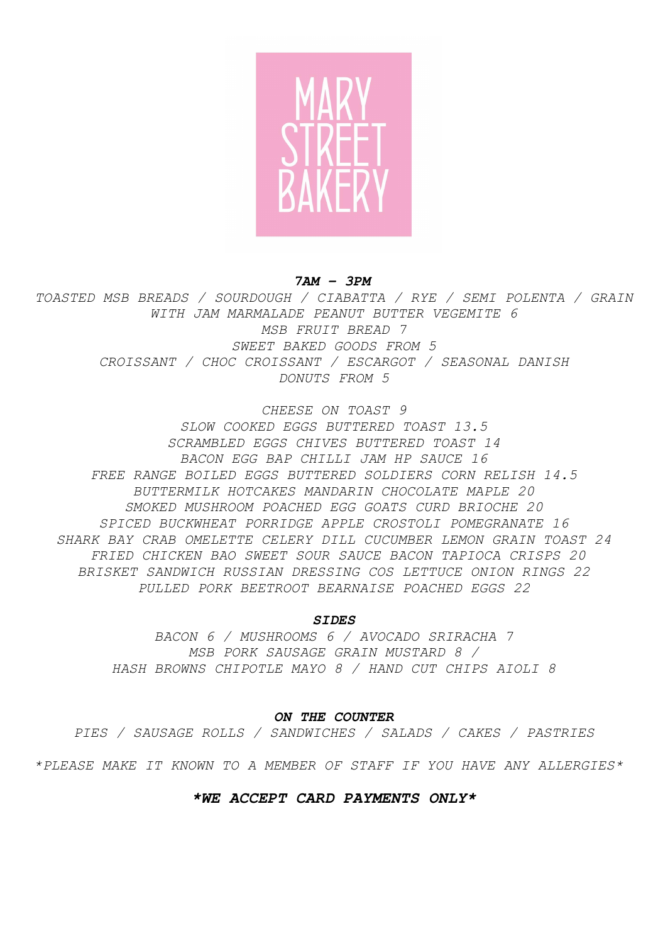

*7AM – 3PM*

*TOASTED MSB BREADS / SOURDOUGH / CIABATTA / RYE / SEMI POLENTA / GRAIN WITH JAM MARMALADE PEANUT BUTTER VEGEMITE 6 MSB FRUIT BREAD 7 SWEET BAKED GOODS FROM 5 CROISSANT / CHOC CROISSANT / ESCARGOT / SEASONAL DANISH DONUTS FROM 5*

*CHEESE ON TOAST 9*

*SLOW COOKED EGGS BUTTERED TOAST 13.5 SCRAMBLED EGGS CHIVES BUTTERED TOAST 14 BACON EGG BAP CHILLI JAM HP SAUCE 16 FREE RANGE BOILED EGGS BUTTERED SOLDIERS CORN RELISH 14.5 BUTTERMILK HOTCAKES MANDARIN CHOCOLATE MAPLE 20 SMOKED MUSHROOM POACHED EGG GOATS CURD BRIOCHE 20 SPICED BUCKWHEAT PORRIDGE APPLE CROSTOLI POMEGRANATE 16 SHARK BAY CRAB OMELETTE CELERY DILL CUCUMBER LEMON GRAIN TOAST 24 FRIED CHICKEN BAO SWEET SOUR SAUCE BACON TAPIOCA CRISPS 20 BRISKET SANDWICH RUSSIAN DRESSING COS LETTUCE ONION RINGS 22 PULLED PORK BEETROOT BEARNAISE POACHED EGGS 22*

*SIDES*

*BACON 6 / MUSHROOMS 6 / AVOCADO SRIRACHA 7 MSB PORK SAUSAGE GRAIN MUSTARD 8 / HASH BROWNS CHIPOTLE MAYO 8 / HAND CUT CHIPS AIOLI 8*

#### *ON THE COUNTER*

*PIES / SAUSAGE ROLLS / SANDWICHES / SALADS / CAKES / PASTRIES*

*\*PLEASE MAKE IT KNOWN TO A MEMBER OF STAFF IF YOU HAVE ANY ALLERGIES\**

#### *\*WE ACCEPT CARD PAYMENTS ONLY\**